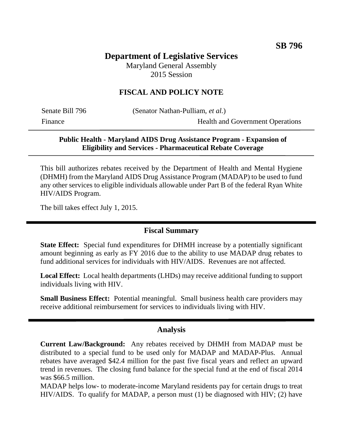# **Department of Legislative Services**

Maryland General Assembly 2015 Session

## **FISCAL AND POLICY NOTE**

Senate Bill 796 (Senator Nathan-Pulliam, *et al.*)

Finance Health and Government Operations

### **Public Health - Maryland AIDS Drug Assistance Program - Expansion of Eligibility and Services - Pharmaceutical Rebate Coverage**

This bill authorizes rebates received by the Department of Health and Mental Hygiene (DHMH) from the Maryland AIDS Drug Assistance Program (MADAP) to be used to fund any other services to eligible individuals allowable under Part B of the federal Ryan White HIV/AIDS Program.

The bill takes effect July 1, 2015.

#### **Fiscal Summary**

**State Effect:** Special fund expenditures for DHMH increase by a potentially significant amount beginning as early as FY 2016 due to the ability to use MADAP drug rebates to fund additional services for individuals with HIV/AIDS. Revenues are not affected.

**Local Effect:** Local health departments (LHDs) may receive additional funding to support individuals living with HIV.

**Small Business Effect:** Potential meaningful. Small business health care providers may receive additional reimbursement for services to individuals living with HIV.

#### **Analysis**

**Current Law/Background:** Any rebates received by DHMH from MADAP must be distributed to a special fund to be used only for MADAP and MADAP-Plus. Annual rebates have averaged \$42.4 million for the past five fiscal years and reflect an upward trend in revenues. The closing fund balance for the special fund at the end of fiscal 2014 was \$66.5 million.

MADAP helps low- to moderate-income Maryland residents pay for certain drugs to treat HIV/AIDS. To qualify for MADAP, a person must (1) be diagnosed with HIV; (2) have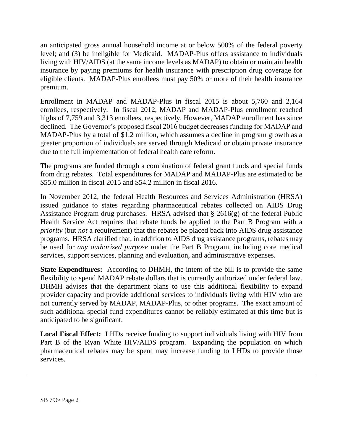an anticipated gross annual household income at or below 500% of the federal poverty level; and (3) be ineligible for Medicaid. MADAP-Plus offers assistance to individuals living with HIV/AIDS (at the same income levels as MADAP) to obtain or maintain health insurance by paying premiums for health insurance with prescription drug coverage for eligible clients. MADAP-Plus enrollees must pay 50% or more of their health insurance premium.

Enrollment in MADAP and MADAP-Plus in fiscal 2015 is about 5,760 and 2,164 enrollees, respectively. In fiscal 2012, MADAP and MADAP-Plus enrollment reached highs of 7,759 and 3,313 enrollees, respectively. However, MADAP enrollment has since declined. The Governor's proposed fiscal 2016 budget decreases funding for MADAP and MADAP-Plus by a total of \$1.2 million, which assumes a decline in program growth as a greater proportion of individuals are served through Medicaid or obtain private insurance due to the full implementation of federal health care reform.

The programs are funded through a combination of federal grant funds and special funds from drug rebates. Total expenditures for MADAP and MADAP-Plus are estimated to be \$55.0 million in fiscal 2015 and \$54.2 million in fiscal 2016.

In November 2012, the federal Health Resources and Services Administration (HRSA) issued guidance to states regarding pharmaceutical rebates collected on AIDS Drug Assistance Program drug purchases. HRSA advised that § 2616(g) of the federal Public Health Service Act requires that rebate funds be applied to the Part B Program with a *priority* (but *not* a requirement) that the rebates be placed back into AIDS drug assistance programs. HRSA clarified that, in addition to AIDS drug assistance programs, rebates may be used for *any authorized purpose* under the Part B Program, including core medical services, support services, planning and evaluation, and administrative expenses.

**State Expenditures:** According to DHMH, the intent of the bill is to provide the same flexibility to spend MADAP rebate dollars that is currently authorized under federal law. DHMH advises that the department plans to use this additional flexibility to expand provider capacity and provide additional services to individuals living with HIV who are not currently served by MADAP, MADAP-Plus, or other programs. The exact amount of such additional special fund expenditures cannot be reliably estimated at this time but is anticipated to be significant.

**Local Fiscal Effect:** LHDs receive funding to support individuals living with HIV from Part B of the Ryan White HIV/AIDS program. Expanding the population on which pharmaceutical rebates may be spent may increase funding to LHDs to provide those services.